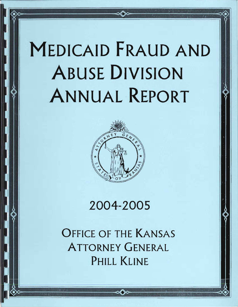# MEDICAID FRAUD AND ABUSE DIVISION ANNUAL REPORT



# 2004-2005

OFFICE OF THE KANSAS ATTORNEY GENERAL PHILL KLINE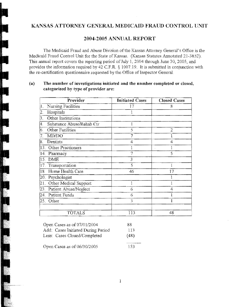# KANSAS ATTORNEY GENERAL MEDICAID FRAUD CONTROL UNIT

## 2004-2005 ANNUAL REPORT

The Medicaid Fraud and Abuse Division of the Kansas Attorney General's Office is the Medicaid Fraud Control Unit for the State of Kansas. (Kansas Statutes Annotated 21-3852). This annual report covers the reporting period of July 1, 2004 through June 30, 2005, and provides the information required by 42 CF.R. § 1007.19. It is submitted in conjunction with the re-certification questionnaire requested by the Office of Inspector General.

#### (a) The number of investigations initiated and the nnmber completed or closed, categorized by type of provider are:

| Provider                        | <b>Initiated Cases</b> | <b>Closed Cases</b> |
|---------------------------------|------------------------|---------------------|
| Nursing Facilities<br>1.        | 17                     | 8                   |
| Hospitals<br>2.                 |                        |                     |
| Other Institutions<br>3.        |                        |                     |
| Substance Abuse/Rehab Ctr<br>4. | 1                      |                     |
| <b>Other Facilities</b><br>б.   | 5                      | 2                   |
| MD/DO<br>7.                     | 7                      |                     |
| Dentists<br>8.                  | 4                      | 4                   |
| <b>Other Practioners</b><br>13. |                        |                     |
| 14 <sub>1</sub><br>Pharmacy     |                        | 5                   |
| <b>DME</b><br>15.               | 3                      |                     |
| 17.<br>Transportation           | 5                      | 1                   |
| Home Health Care<br>18.         | 46                     | 17                  |
| Psychologist<br>20.             |                        |                     |
| Other Medical Support<br>21.    |                        |                     |
| Patient Abuse/Neglect<br>23.    | 6                      | 4                   |
| Patient Funds<br>24.            | 6                      |                     |
| Other<br>25.                    | 3                      |                     |
| <b>TOTALS</b>                   | 113                    | 48                  |

| Open Cases as of 07/01/2004        | 88   |
|------------------------------------|------|
| Add: Cases Initiated During Period | 113  |
| Less: Cases Closed/Completed       | (48) |
| Open Cases as of 06/30/2005        | 153  |

1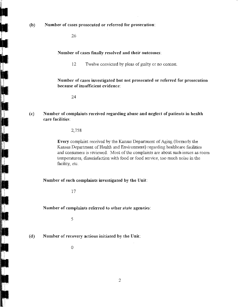(b) Number of cases prosecuted or referred for prosecution:

26

#### Number of cases finally resolved and their outcomes:

12 Twelve convicted by pleas of guilty or no contest.

Number of cases investigated but not prosecuted or referred for prosecution because of insufficient evidence:

24

(c) Number of complaints received regarding abuse and neglect of patients in health care facilities:

2,758

Every complaint received by the Kansas Department of Aging (formerly the Kansas Department of Health and Environment) regarding healthcare facilities and consumers is reviewed. Most of the complaints are about such issues as room temperatures, dissatisfaction with food or food service, too much noise in the facility, etc.

#### Number of such complaints investigated by the Unit:

17

#### Number of complaints referred to otber state agencies:

5

 $(d)$  Number of recovery actious initiated by the Unit:

 $\theta$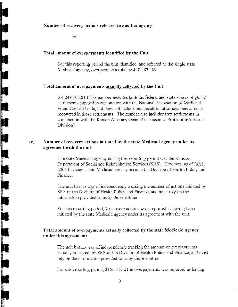#### Number of recovery actions referred to another agency:

36

#### Total amount of overpayments identified by the Unit.

For this reporting period the unit identified, and referred to the smgle state Medicaid agency, overpayments totaling \$185,835.09.

#### Total amount of overpayments actually collected by the Unit:

\$ 4,249,105.21 (This number includes both the federal and state shares of global settlements pursued in conjunction with the National Association of Medicaid Fraud Control Units, but does not include any penalties, attorneys fees or costs recovered in those settlements. The number also includes two settlements in conjunction with the Kansas Attorney General's Consumer Protection/Antitrust Division)

#### (e) Number of recovery actions initiated by the state Medicaid agency under its agreement with the unit:

The state Medicaid agency during this reporting period was the Kansas Department of Social and Rehabilitation Services (SRS). However, as of July1. 2005 the single stare Medicaid agency became the Division of Health Policy and Finance.

The unit has no way of independently tracking the number of actions initiated by SRS or the Division of Health Policy and Finance, and must rely on the information provided to us by those entities.

For this reporting period, 7 recovery actions were reported as having been initiated by the state Medicaid agency under its agreement with the unit.

### Total amount of overpayments actually collected by the state Medicaid agency under this agreement:

The unit has no way of independently tracking the amount of overpayments actually collected by SRS or the Division of Health Policy and Finance, and must rely on the information provided to us by those entities.

For this reporting period, \$156,3 16.21 in overpayments was reported as having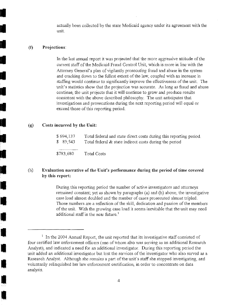actually been collected by the state Medicaid agency under its agreement with the unit.

#### (I) Projections:

 $\mathcal{L} = \mathcal{L}$ 

 $\mathcal{L} = \mathcal{L} \left( \mathcal{L} \right)$ 

•

•

•

•

•

•

 $\blacksquare$ 

•

<u>11</u>

I<br>L

II

**•**<br>•

•<br>•<br>•

•

•

•

•

In the last annual report it was projected that the more aggressive attitude of the current staff of the Medicaid Fraud Control Unit, which is more in line with the Attorney General's plan of vigilantly prosecuting fraud and abuse in the system and cracking down to the fullest extent of the law, coupled with an increase in staffing would continue to significantly improve the effectiveness of the unit. The unit's statistics show that the projection was accurate, As long as fraud and abuse continue, the unit projects that it will continue to grow and produce resnlts consistent with the above described philosophy, The unit anticipates that investigations and prosecutions during the next reporting period will equal or exceed those of this reporting period.

#### (g) Costs incnrred by the Unit:

| \$694,137  | Total federal and state direct costs during this reporting period. |
|------------|--------------------------------------------------------------------|
| \$89.543   | Total federal $\&$ state indirect costs during the period          |
|            |                                                                    |
| \$783,680. | Total Costs                                                        |

#### (h) Evaluation narrative of the Unit's performance during the period of time covered by this report:

During this reporting period the number of active investigators and attorneys remained constant; yet as shown by paragraphs (a) and (b) above, the investigative case load almost doubled and the number of cases prosecuted almost tripled, Those numbers are a reflection of the skill, dedication and passion of the members of the unit. With the growing case load it seems inevitable that the unit may need additional staff in the near future.<sup>1</sup>

 $1$  In the 2004 Annual Report, the unit reported that its investigative staff consisted of four certified law enforcement officers (one of whom also was serving as an additional. Research Analyst), and indicated a need for an additional investigator. During this reporting period the unit added an additional investigator but lost the services of the investigator who also served as a Research Analyst. Although she remains a part of the unit's staff she stopped investigating, and voluntarily relinquished her law enforcement certification, in order to concentrate on data analysis,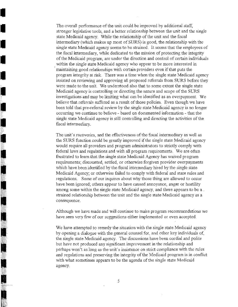The overall performance of the unit could be improved by additional staff, stronger legislative tools, and a better relationship between the unit and the single state Medicaid agency. While the relationship of the unit and the fiscal intermediary (which makes up most of SURS) is good, the relationship with the single state Medicaid agency seems to be strained. It seems that the employees of the fiscal intermediary, while dedicated to the mission of protecting the integrity of the Medicaid program, are under the direction and control of certain individuals within the single state Medicaid agency who appear to be more interested in maintaining good relationships with certain providers even if that puts the program integrity at risk. There was a time when the single state Medicaid agency insisted on reviewing and approving all proposed referrals from SURS before they were made to the unit We understood also that to some extent the single state Medicaid agency is controlling or directing the nature and scope of the SL'RS investigations and may be limiting what can be identified as an overpayment. We believe that referrals suffered as a result of those policies. Even though we have been told that pre-referral review by the single state Medicaid agency is no longer occurring we continue to believe - based on documented information - that the single state Medicaid agency is still controlling and directing the activities of the fiscal intermediary.

।<br>स

•

•<br>•

•<br>•<br>•

 $\frac{1}{2}$   $\frac{1}{2}$   $\frac{1}{2}$   $\frac{1}{2}$   $\frac{1}{2}$   $\frac{1}{2}$   $\frac{1}{2}$   $\frac{1}{2}$   $\frac{1}{2}$   $\frac{1}{2}$   $\frac{1}{2}$   $\frac{1}{2}$   $\frac{1}{2}$   $\frac{1}{2}$   $\frac{1}{2}$   $\frac{1}{2}$   $\frac{1}{2}$   $\frac{1}{2}$   $\frac{1}{2}$   $\frac{1}{2}$   $\frac{1}{2}$   $\frac{1}{2}$ 

 $\begin{aligned} \mathcal{L}_{\text{max}}(\mathbf{y}, \mathbf{y}) & = \sum_{i=1}^{n} \mathcal{L}_{\text{max}}(\mathbf{y}, \mathbf{y}) \mathcal{L}_{\text{max}}(\mathbf{y}, \mathbf{y}) \\ & \leq \sum_{i=1}^{n} \mathcal{L}_{\text{max}}(\mathbf{y}, \mathbf{y}) \mathcal{L}_{\text{max}}(\mathbf{y}, \mathbf{y}) \mathcal{L}_{\text{max}}(\mathbf{y}, \mathbf{y}) \\ & = \sum_{i=1}^{n} \mathcal{L}_{\text{max}}(\mathbf{y}, \mathbf{y}) \mathcal{L}_{\text{max}}(\mathbf$ 

• I

**II** 

II

The unit's recoveries, and the effectiveness of the fiscal intermediary as well as the SURS function could be greatly improved if the single state Medicaid agency would require all providers and program administrators to strictly comply with federal laws and regulations and with all program requirements. We are often frustrated to learn that the single state Medicaid Agency has waived program requirements; discounted, settled, or otherwise forgiven provider overpayments which have been identified by the fiscal intermediary hired by the single state Medicaid Agency; or otherwise failed to comply with federal and state rules and regulations. Some of our inquires about why those thing are allowed to occur have been ignored; others appear to have caused annoyance, anger or hostility among some within the single state Medicaid agency, and there appears to be a . strained relationship between the unit and the single state Medicaid agency as a consequence.

Although we have made and will continue to make program recommendations we have seen very few of our suggestions either implemented or even accepted.

We have attempted to remedy the situation with the single state Medicaid agency by opening a dialogue with the general counsel for, and other key individuals of, the single state Medicaid agency. The discussions have been cordial and polite but have not produced any significant improvement in the relationship and perhaps won't as long as the unit's insistence on strict compliance with the rules and regulations and preserving the integrity of the Medicaid program is in conflict with what sometimes appears to be the agenda of the single state Medicaid agency.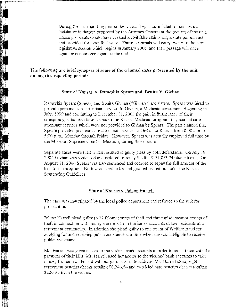During the last reporting period the Kansas Legislature failed to pass several legislative initiatives proposed by the Attorney General at the request of the unit. Those proposals would have created a civil false claims act, a state *qui tam* act, and provided for asset forfeiture, Those proposals will carry over into the new legislative session which begins in January 2006, and their passage will once again be encouraged again by the unit

#### The following are brief synopses of some of the criminal cases prosecuted by the unit during this reporting period:

#### State of Kansas v, Rameshia Spears and Benita Y. Givhan

Rameshia Spears (Spears) and Benita Givhan ("Givhan") are sisters, Spears was hired to provide personal care attendant services to Givhan, a Medicaid consumer, Beginning in July, 1999 and continuing to December 31, 2003 the pair, in furtherance of their conspiracy, submitted false claims to the Kansas Medicaid program for personal care attendant services which were not provided to Givhan by Spears, The pair claimed that Spears provided personal care attendant services to Givhan in Kansas from 8 :00 a,m. to 5 :00 p,m" Monday through Friday. However, Spears was actually employed full time by the Missouri Supreme Court in Missouri, during those hours.

Separate cases were ftled which resulted in guilty pleas by both defendants, On July 19, 2004 Givhan was sentenced and ordered to repay the full \$131,853,74 plus interest. On August 11,2004 Spears was also sentenced and ordered to repay the full amount of the loss to the program. Both were eligible for and granted probation under the Kansas Sentencing Guidelines.

#### State of Kansas v. Jolene Harrell

The case was investigated by the local police department and referred to the unit for prosecution,

Jolene Harrell plead guilty to 22 felony counts of theft and three misdemeanor counts of theft in connection with money she took from the banks accounts of two residents at a retirement community, In addition she plead guilty to one count of Welfare fraud for applying for and receiving public assistance at a time when she was ineligible to receive public assistance.

Ms. Harrell was given access to the victims bank accounts in order to assist them with the payment of their bills. Ms. Harrell used her access to the victims' bank accounts to take money for her own benefit without permission, In addition Ms. Harrell stole, eight retirement benefits checks totaling \$6,246,54 and two Medicare benefits checks totaling \$226.98 from the victims.